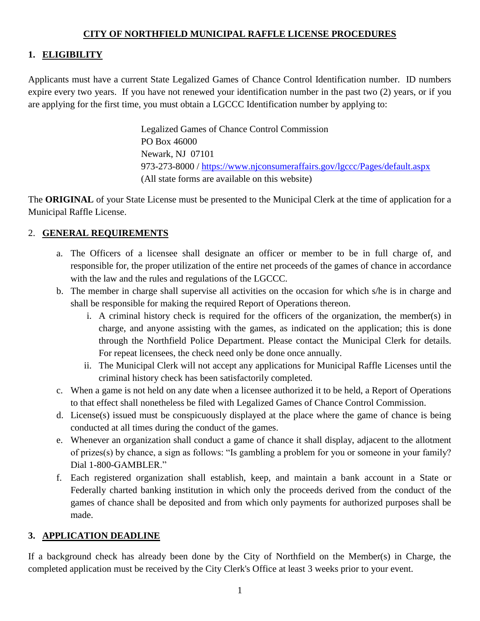## **CITY OF NORTHFIELD MUNICIPAL RAFFLE LICENSE PROCEDURES**

# **1. ELIGIBILITY**

Applicants must have a current State Legalized Games of Chance Control Identification number. ID numbers expire every two years. If you have not renewed your identification number in the past two (2) years, or if you are applying for the first time, you must obtain a LGCCC Identification number by applying to:

> Legalized Games of Chance Control Commission PO Box 46000 Newark, NJ 07101 973-273-8000 / https://www.njconsumeraffairs.gov/lgccc/Pages/default.aspx (All state forms are available on this website)

The **ORIGINAL** of your State License must be presented to the Municipal Clerk at the time of application for a Municipal Raffle License.

## 2. **GENERAL REQUIREMENTS**

- a. The Officers of a licensee shall designate an officer or member to be in full charge of, and responsible for, the proper utilization of the entire net proceeds of the games of chance in accordance with the law and the rules and regulations of the LGCCC.
- b. The member in charge shall supervise all activities on the occasion for which s/he is in charge and shall be responsible for making the required Report of Operations thereon.
	- i. A criminal history check is required for the officers of the organization, the member(s) in charge, and anyone assisting with the games, as indicated on the application; this is done through the Northfield Police Department. Please contact the Municipal Clerk for details. For repeat licensees, the check need only be done once annually.
	- ii. The Municipal Clerk will not accept any applications for Municipal Raffle Licenses until the criminal history check has been satisfactorily completed.
- c. When a game is not held on any date when a licensee authorized it to be held, a Report of Operations to that effect shall nonetheless be filed with Legalized Games of Chance Control Commission.
- d. License(s) issued must be conspicuously displayed at the place where the game of chance is being conducted at all times during the conduct of the games.
- e. Whenever an organization shall conduct a game of chance it shall display, adjacent to the allotment of prizes(s) by chance, a sign as follows: "Is gambling a problem for you or someone in your family? Dial 1-800-GAMBLER."
- f. Each registered organization shall establish, keep, and maintain a bank account in a State or Federally charted banking institution in which only the proceeds derived from the conduct of the games of chance shall be deposited and from which only payments for authorized purposes shall be made.

# **3. APPLICATION DEADLINE**

If a background check has already been done by the City of Northfield on the Member(s) in Charge, the completed application must be received by the City Clerk's Office at least 3 weeks prior to your event.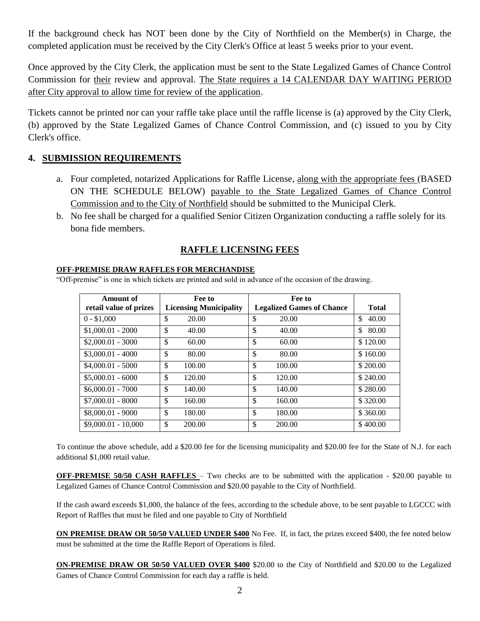If the background check has NOT been done by the City of Northfield on the Member(s) in Charge, the completed application must be received by the City Clerk's Office at least 5 weeks prior to your event.

Once approved by the City Clerk, the application must be sent to the State Legalized Games of Chance Control Commission for their review and approval. The State requires a 14 CALENDAR DAY WAITING PERIOD after City approval to allow time for review of the application.

Tickets cannot be printed nor can your raffle take place until the raffle license is (a) approved by the City Clerk, (b) approved by the State Legalized Games of Chance Control Commission, and (c) issued to you by City Clerk's office.

### **4. SUBMISSION REQUIREMENTS**

- a. Four completed, notarized Applications for Raffle License, along with the appropriate fees (BASED ON THE SCHEDULE BELOW) payable to the State Legalized Games of Chance Control Commission and to the City of Northfield should be submitted to the Municipal Clerk.
- b. No fee shall be charged for a qualified Senior Citizen Organization conducting a raffle solely for its bona fide members.

### **RAFFLE LICENSING FEES**

#### **OFF-PREMISE DRAW RAFFLES FOR MERCHANDISE**

"Off-premise" is one in which tickets are printed and sold in advance of the occasion of the drawing.

| Amount of<br>retail value of prizes | Fee to<br><b>Licensing Municipality</b> | Fee to<br><b>Legalized Games of Chance</b> | <b>Total</b> |
|-------------------------------------|-----------------------------------------|--------------------------------------------|--------------|
| $0 - $1,000$                        | \$<br>20.00                             | \$<br>20.00                                | \$<br>40.00  |
| $$1,000.01 - 2000$                  | \$<br>40.00                             | \$<br>40.00                                | \$<br>80.00  |
| $$2,000.01 - 3000$                  | \$<br>60.00                             | \$<br>60.00                                | \$120.00     |
| $$3,000.01 - 4000$                  | \$<br>80.00                             | \$<br>80.00                                | \$160.00     |
| $$4,000.01 - 5000$                  | \$<br>100.00                            | \$<br>100.00                               | \$200.00     |
| $$5,000.01 - 6000$                  | \$<br>120.00                            | \$<br>120.00                               | \$240.00     |
| $$6,000.01 - 7000$                  | \$<br>140.00                            | \$<br>140.00                               | \$280.00     |
| $$7,000.01 - 8000$                  | \$<br>160.00                            | \$<br>160.00                               | \$320.00     |
| $$8,000.01 - 9000$                  | \$<br>180.00                            | \$<br>180.00                               | \$360.00     |
| $$9,000.01 - 10,000$                | \$<br>200.00                            | \$<br>200.00                               | \$400.00     |

To continue the above schedule, add a \$20.00 fee for the licensing municipality and \$20.00 fee for the State of N.J. for each additional \$1,000 retail value.

**OFF-PREMISE 50/50 CASH RAFFLES** – Two checks are to be submitted with the application - \$20.00 payable to Legalized Games of Chance Control Commission and \$20.00 payable to the City of Northfield.

If the cash award exceeds \$1,000, the balance of the fees, according to the schedule above, to be sent payable to LGCCC with Report of Raffles that must be filed and one payable to City of Northfield

**ON PREMISE DRAW OR 50/50 VALUED UNDER \$400** No Fee. If, in fact, the prizes exceed \$400, the fee noted below must be submitted at the time the Raffle Report of Operations is filed.

**ON-PREMISE DRAW OR 50/50 VALUED OVER \$400** \$20.00 to the City of Northfield and \$20.00 to the Legalized Games of Chance Control Commission for each day a raffle is held.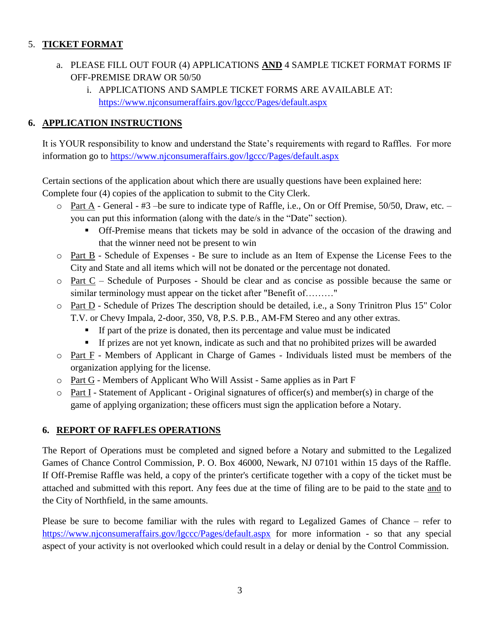## 5. **TICKET FORMAT**

- a. PLEASE FILL OUT FOUR (4) APPLICATIONS **AND** 4 SAMPLE TICKET FORMAT FORMS IF OFF-PREMISE DRAW OR 50/50
	- i. APPLICATIONS AND SAMPLE TICKET FORMS ARE AVAILABLE AT: <https://www.njconsumeraffairs.gov/lgccc/Pages/default.aspx>

## **6. APPLICATION INSTRUCTIONS**

It is YOUR responsibility to know and understand the State's requirements with regard to Raffles. For more information go to<https://www.njconsumeraffairs.gov/lgccc/Pages/default.aspx>

Certain sections of the application about which there are usually questions have been explained here: Complete four (4) copies of the application to submit to the City Clerk.

- o Part A General #3 –be sure to indicate type of Raffle, i.e., On or Off Premise, 50/50, Draw, etc. you can put this information (along with the date/s in the "Date" section).
	- Off-Premise means that tickets may be sold in advance of the occasion of the drawing and that the winner need not be present to win
- o Part B Schedule of Expenses Be sure to include as an Item of Expense the License Fees to the City and State and all items which will not be donated or the percentage not donated.
- o Part C Schedule of Purposes Should be clear and as concise as possible because the same or similar terminology must appear on the ticket after "Benefit of........."
- o Part D Schedule of Prizes The description should be detailed, i.e., a Sony Trinitron Plus 15" Color T.V. or Chevy Impala, 2-door, 350, V8, P.S. P.B., AM-FM Stereo and any other extras.
	- If part of the prize is donated, then its percentage and value must be indicated
	- If prizes are not yet known, indicate as such and that no prohibited prizes will be awarded
- o Part F Members of Applicant in Charge of Games Individuals listed must be members of the organization applying for the license.
- o Part G Members of Applicant Who Will Assist Same applies as in Part F
- $\circ$  Part I Statement of Applicant Original signatures of officer(s) and member(s) in charge of the game of applying organization; these officers must sign the application before a Notary.

## **6. REPORT OF RAFFLES OPERATIONS**

The Report of Operations must be completed and signed before a Notary and submitted to the Legalized Games of Chance Control Commission, P. O. Box 46000, Newark, NJ 07101 within 15 days of the Raffle. If Off-Premise Raffle was held, a copy of the printer's certificate together with a copy of the ticket must be attached and submitted with this report. Any fees due at the time of filing are to be paid to the state and to the City of Northfield, in the same amounts.

Please be sure to become familiar with the rules with regard to Legalized Games of Chance – refer to <https://www.njconsumeraffairs.gov/lgccc/Pages/default.aspx> for more information - so that any special aspect of your activity is not overlooked which could result in a delay or denial by the Control Commission.